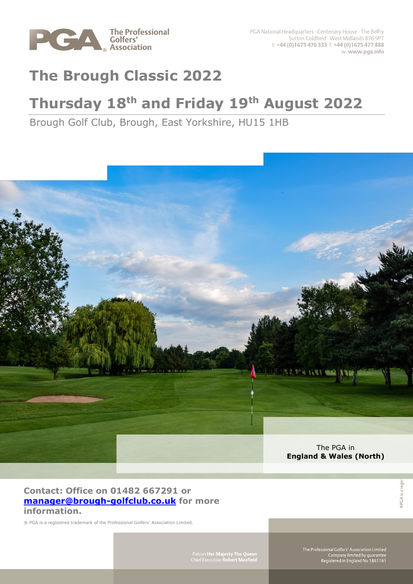

# **The Brough Classic 2022**

## **Thursday 18th and Friday 19th August 2022**

Brough Golf Club, Brough, East Yorkshire, HU15 1HB



### **Contact: Office on 01482 667291 or [manager@brough-golfclub.co.uk](mailto:manager@brough-golfclub.co.uk) for more information.**

® PGA is a registered trademark of the Professional Golfers' Association Limited.

Patron Her Majesty The Queen<br>Chief Executive Robert Maxfield

The Professional Golfers' Association Limited<br>Company limited by guarantee<br>Registered in England No 1861161